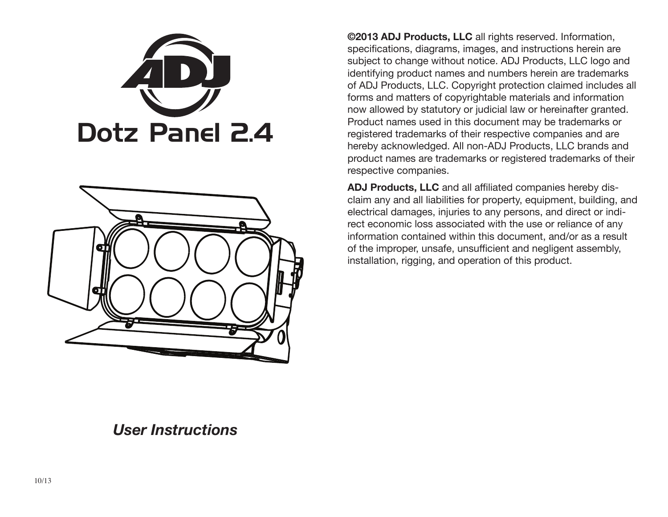



**©2013 ADJ Products, LLC** all rights reserved. Information, specifications, diagrams, images, and instructions herein are subject to change without notice. ADJ Products, LLC logo and identifying product names and numbers herein are trademarks of ADJ Products, LLC. Copyright protection claimed includes all forms and matters of copyrightable materials and information now allowed by statutory or judicial law or hereinafter granted. Product names used in this document may be trademarks or registered trademarks of their respective companies and are hereby acknowledged. All non-ADJ Products, LLC brands and product names are trademarks or registered trademarks of their respective companies.

**ADJ Products, LLC** and all affiliated companies hereby disclaim any and all liabilities for property, equipment, building, and electrical damages, injuries to any persons, and direct or indirect economic loss associated with the use or reliance of any information contained within this document, and/or as a result of the improper, unsafe, unsufficient and negligent assembly, installation, rigging, and operation of this product.

## *User Instructions*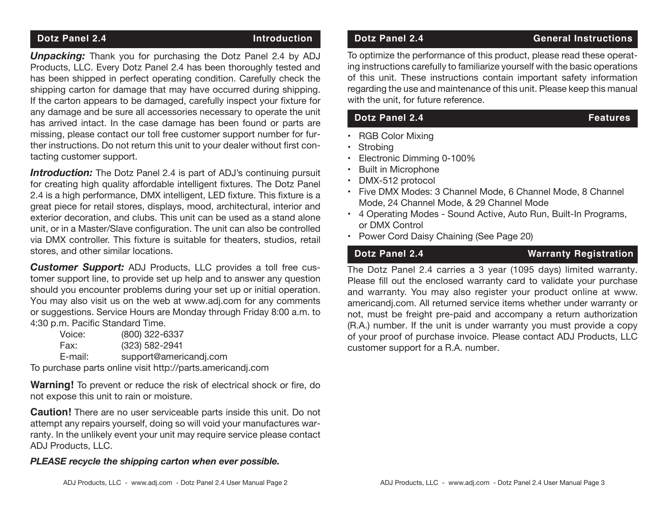**Unpacking:** Thank you for purchasing the Dotz Panel 2.4 by ADJ Products, LLC. Every Dotz Panel 2.4 has been thoroughly tested and has been shipped in perfect operating condition. Carefully check the shipping carton for damage that may have occurred during shipping. If the carton appears to be damaged, carefully inspect your fixture for any damage and be sure all accessories necessary to operate the unit has arrived intact. In the case damage has been found or parts are missing, please contact our toll free customer support number for further instructions. Do not return this unit to your dealer without first contacting customer support.

**Introduction:** The Dotz Panel 2.4 is part of ADJ's continuing pursuit for creating high quality affordable intelligent fixtures. The Dotz Panel 2.4 is a high performance, DMX intelligent, LED fixture. This fixture is a great piece for retail stores, displays, mood, architectural, interior and exterior decoration, and clubs. This unit can be used as a stand alone unit, or in a Master/Slave configuration. The unit can also be controlled via DMX controller. This fixture is suitable for theaters, studios, retail stores, and other similar locations.

*Customer Support:* ADJ Products, LLC provides a toll free customer support line, to provide set up help and to answer any question should you encounter problems during your set up or initial operation. You may also visit us on the web at www.adj.com for any comments or suggestions. Service Hours are Monday through Friday 8:00 a.m. to 4:30 p.m. Pacific Standard Time.

| (800) 322-6337<br>Voice:          |  |
|-----------------------------------|--|
| (323) 582-2941<br>Fax:            |  |
| support@americandj.com<br>E-mail: |  |

To purchase parts online visit http://parts.americandj.com

**Warning!** To prevent or reduce the risk of electrical shock or fire, do not expose this unit to rain or moisture.

**Caution!** There are no user serviceable parts inside this unit. Do not attempt any repairs yourself, doing so will void your manufactures warranty. In the unlikely event your unit may require service please contact ADJ Products, LLC.

### *PLEASE recycle the shipping carton when ever possible.*

## **Dotz Panel 2.4 Construction Dotz Panel 2.4 General Instructions**

To optimize the performance of this product, please read these operating instructions carefully to familiarize yourself with the basic operations of this unit. These instructions contain important safety information regarding the use and maintenance of this unit. Please keep this manual with the unit, for future reference.

## **Dotz Panel 2.4** Features

• RGB Color Mixing

• Strobing

- Electronic Dimming 0-100%
- Built in Microphone
- DMX-512 protocol
- Five DMX Modes: 3 Channel Mode, 6 Channel Mode, 8 Channel Mode, 24 Channel Mode, & 29 Channel Mode
- 4 Operating Modes Sound Active, Auto Run, Built-In Programs, or DMX Control
- Power Cord Daisy Chaining (See Page 20)

## **Dotz Panel 2.4 Warranty Registration**

The Dotz Panel 2.4 carries a 3 year (1095 days) limited warranty. Please fill out the enclosed warranty card to validate your purchase and warranty. You may also register your product online at www. americandj.com. All returned service items whether under warranty or not, must be freight pre-paid and accompany a return authorization (R.A.) number. If the unit is under warranty you must provide a copy of your proof of purchase invoice. Please contact ADJ Products, LLC customer support for a R.A. number.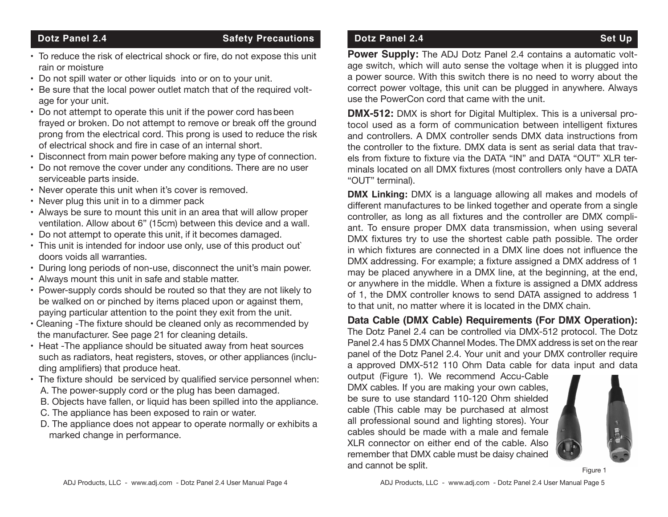## **Dotz Panel 2.4** Safety Precautions

- To reduce the risk of electrical shock or fire, do not expose this unit rain or moisture
- Do not spill water or other liquids into or on to your unit.
- Be sure that the local power outlet match that of the required voltage for your unit.
- Do not attempt to operate this unit if the power cord hasbeen frayed or broken. Do not attempt to remove or break off the ground prong from the electrical cord. This prong is used to reduce the risk of electrical shock and fire in case of an internal short.
- Disconnect from main power before making any type of connection.
- Do not remove the cover under any conditions. There are no user serviceable parts inside.
- Never operate this unit when it's cover is removed.
- Never plug this unit in to a dimmer pack
- Always be sure to mount this unit in an area that will allow proper ventilation. Allow about 6" (15cm) between this device and a wall.
- Do not attempt to operate this unit, if it becomes damaged.
- This unit is intended for indoor use only, use of this product out` doors voids all warranties.
- During long periods of non-use, disconnect the unit's main power.
- Always mount this unit in safe and stable matter.
- Power-supply cords should be routed so that they are not likely to be walked on or pinched by items placed upon or against them, paying particular attention to the point they exit from the unit.
- Cleaning -The fixture should be cleaned only as recommended by the manufacturer. See page 21 for cleaning details.
- Heat -The appliance should be situated away from heat sources such as radiators, heat registers, stoves, or other appliances (including amplifiers) that produce heat.
- The fixture should be serviced by qualified service personnel when: A. The power-supply cord or the plug has been damaged.
	- B. Objects have fallen, or liquid has been spilled into the appliance.
	- C. The appliance has been exposed to rain or water.
	- D. The appliance does not appear to operate normally or exhibits a marked change in performance.

## **Dotz Panel 2.4** Set Up

**Power Supply:** The ADJ Dotz Panel 2.4 contains a automatic voltage switch, which will auto sense the voltage when it is plugged into a power source. With this switch there is no need to worry about the correct power voltage, this unit can be plugged in anywhere. Always use the PowerCon cord that came with the unit.

**DMX-512:** DMX is short for Digital Multiplex. This is a universal protocol used as a form of communication between intelligent fixtures and controllers. A DMX controller sends DMX data instructions from the controller to the fixture. DMX data is sent as serial data that travels from fixture to fixture via the DATA "IN" and DATA "OUT" XLR terminals located on all DMX fixtures (most controllers only have a DATA "OUT" terminal).

**DMX Linking:** DMX is a language allowing all makes and models of different manufactures to be linked together and operate from a single controller, as long as all fixtures and the controller are DMX compliant. To ensure proper DMX data transmission, when using several DMX fixtures try to use the shortest cable path possible. The order in which fixtures are connected in a DMX line does not influence the DMX addressing. For example; a fixture assigned a DMX address of 1 may be placed anywhere in a DMX line, at the beginning, at the end, or anywhere in the middle. When a fixture is assigned a DMX address of 1, the DMX controller knows to send DATA assigned to address 1 to that unit, no matter where it is located in the DMX chain.

**Data Cable (DMX Cable) Requirements (For DMX Operation):** The Dotz Panel 2.4 can be controlled via DMX-512 protocol. The Dotz Panel 2.4 has 5 DMX Channel Modes. The DMX address is set on the rear panel of the Dotz Panel 2.4. Your unit and your DMX controller require a approved DMX-512 110 Ohm Data cable for data input and data

output (Figure 1). We recommend Accu-Cable DMX cables. If you are making your own cables, be sure to use standard 110-120 Ohm shielded cable (This cable may be purchased at almost all professional sound and lighting stores). Your cables should be made with a male and female XLR connector on either end of the cable. Also remember that DMX cable must be daisy chained and cannot be split.



Figure 1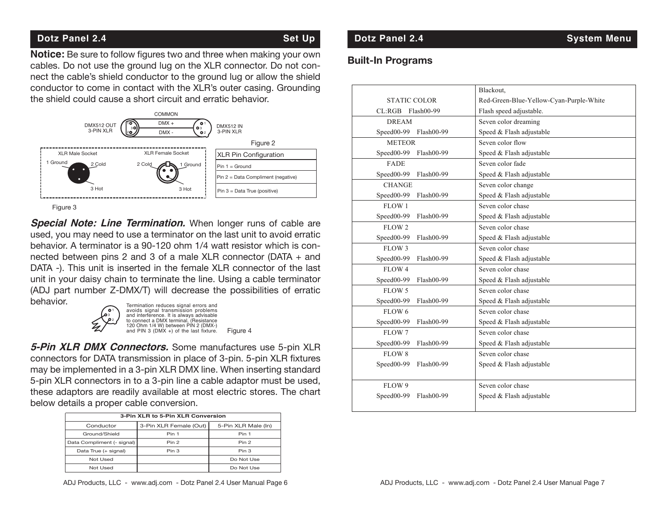## **Dotz Panel 2.4** Set Up

**Notice:** Be sure to follow figures two and three when making your own cables. Do not use the ground lug on the XLR connector. Do not connect the cable's shield conductor to the ground lug or allow the shield conductor to come in contact with the XLR's outer casing. Grounding the shield could cause a short circuit and erratic behavior.



Figure 3

**Special Note: Line Termination.** When longer runs of cable are used, you may need to use a terminator on the last unit to avoid erratic behavior. A terminator is a 90-120 ohm 1/4 watt resistor which is connected between pins 2 and 3 of a male XLR connector (DATA + and DATA -). This unit is inserted in the female XLR connector of the last unit in your daisy chain to terminate the line. Using a cable terminator (ADJ part number Z-DMX/T) will decrease the possibilities of erratic behavior.



**5-Pin XLR DMX Connectors.** Some manufactures use 5-pin XLR connectors for DATA transmission in place of 3-pin. 5-pin XLR fixtures may be implemented in a 3-pin XLR DMX line. When inserting standard 5-pin XLR connectors in to a 3-pin line a cable adaptor must be used, these adaptors are readily available at most electric stores. The chart below details a proper cable conversion.

| 3-Pin XLR to 5-Pin XLR Conversion |                        |                     |  |  |
|-----------------------------------|------------------------|---------------------|--|--|
| Conductor                         | 3-Pin XLR Female (Out) | 5-Pin XLR Male (In) |  |  |
| Ground/Shield                     | Pin 1                  | Pin 1               |  |  |
| Data Compliment (- signal)        | Pin 2                  | Pin <sub>2</sub>    |  |  |
| Data True (+ signal)              | Pin 3                  | Pin 3               |  |  |
| Not Used                          |                        | Do Not Use          |  |  |
| Not Used                          |                        | Do Not Use          |  |  |

## **Dotz Panel 2.4 System Menu**

### **Built-In Programs**

| ٦g        |                            | Blackout.                               |
|-----------|----------------------------|-----------------------------------------|
|           | <b>STATIC COLOR</b>        | Red-Green-Blue-Yellow-Cyan-Purple-White |
|           | CL:RGB Flash00-99          | Flash speed adjustable.                 |
|           | <b>DREAM</b>               | Seven color dreaming                    |
|           | Speed00-99 Flash00-99      | Speed & Flash adjustable                |
|           | <b>METEOR</b>              | Seven color flow                        |
|           | $Speed00-99$<br>Flash00-99 | Speed & Flash adjustable                |
|           | <b>FADE</b>                | Seven color fade                        |
|           | Speed00-99<br>Flash00-99   | Speed & Flash adjustable                |
|           | <b>CHANGE</b>              | Seven color change                      |
|           | $Speed00-99$<br>Flash00-99 | Speed & Flash adjustable                |
|           | FLOW 1                     | Seven color chase                       |
|           | Speed00-99<br>Flash00-99   | Speed & Flash adjustable                |
| <b>re</b> | FLOW 2                     | Seven color chase                       |
| tic       | Speed00-99<br>Flash00-99   | Speed & Flash adjustable                |
| n-        | FLOW 3                     | Seven color chase                       |
| ٦d        | Speed00-99<br>Flash00-99   | Speed & Flash adjustable                |
| ıst       | FLOW 4                     | Seven color chase                       |
| or        | Speed00-99<br>Flash00-99   | Speed & Flash adjustable                |
| tic       | FLOW 5                     | Seven color chase                       |
|           | Speed00-99<br>Flash00-99   | Speed & Flash adjustable                |
|           | FLOW 6                     | Seven color chase                       |
|           | Speed00-99<br>Flash00-99   | Speed & Flash adjustable                |
|           | FLOW 7                     | Seven color chase                       |
| -R        | Speed00-99<br>Flash00-99   | Speed & Flash adjustable                |
|           | FLOW 8                     | Seven color chase                       |
| es        | Speed00-99<br>Flash00-99   | Speed & Flash adjustable                |
| rd        |                            |                                         |
| ۱d,       | FLOW 9                     | Seven color chase                       |
| art       | Speed00-99<br>Flash00-99   | Speed & Flash adjustable                |
|           |                            |                                         |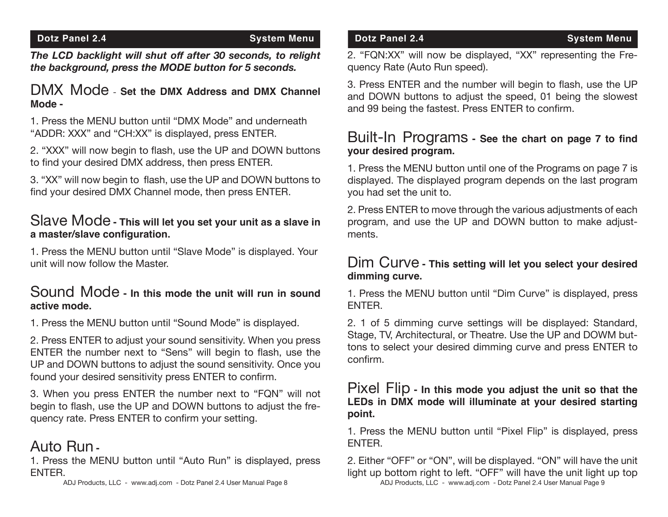*The LCD backlight will shut off after 30 seconds, to relight the background, press the MODE button for 5 seconds.*

## DMX Mode - **Set the DMX Address and DMX Channel Mode -**

1. Press the MENU button until "DMX Mode" and underneath "ADDR: XXX" and "CH:XX" is displayed, press ENTER.

2. "XXX" will now begin to flash, use the UP and DOWN buttons to find your desired DMX address, then press ENTER.

3. "XX" will now begin to flash, use the UP and DOWN buttons to find your desired DMX Channel mode, then press ENTER.

## Slave Mode **- This will let you set your unit as a slave in a master/slave configuration.**

1. Press the MENU button until "Slave Mode" is displayed. Your unit will now follow the Master.

## Sound Mode **- In this mode the unit will run in sound active mode.**

1. Press the MENU button until "Sound Mode" is displayed.

2. Press ENTER to adjust your sound sensitivity. When you press ENTER the number next to "Sens" will begin to flash, use the UP and DOWN buttons to adjust the sound sensitivity. Once you found your desired sensitivity press ENTER to confirm.

3. When you press ENTER the number next to "FQN" will not begin to flash, use the UP and DOWN buttons to adjust the frequency rate. Press ENTER to confirm your setting.

# Auto Run **-**

1. Press the MENU button until "Auto Run" is displayed, press ENTER.

ADJ Products, LLC - www.adj.com - Dotz Panel 2.4 User Manual Page 8

2. "FQN:XX" will now be displayed, "XX" representing the Frequency Rate (Auto Run speed).

3. Press ENTER and the number will begin to flash, use the UP and DOWN buttons to adjust the speed, 01 being the slowest and 99 being the fastest. Press ENTER to confirm.

## Built-In Programs **- See the chart on page 7 to find your desired program.**

1. Press the MENU button until one of the Programs on page 7 is displayed. The displayed program depends on the last program you had set the unit to.

2. Press ENTER to move through the various adjustments of each program, and use the UP and DOWN button to make adjustments.

## Dim Curve **- This setting will let you select your desired dimming curve.**

1. Press the MENU button until "Dim Curve" is displayed, press ENTER.

2. 1 of 5 dimming curve settings will be displayed: Standard, Stage, TV, Architectural, or Theatre. Use the UP and DOWM buttons to select your desired dimming curve and press ENTER to confirm.

## Pixel Flip **- In this mode you adjust the unit so that the LEDs in DMX mode will illuminate at your desired starting point.**

1. Press the MENU button until "Pixel Flip" is displayed, press ENTER.

2. Either "OFF" or "ON", will be displayed. "ON" will have the unit light up bottom right to left. "OFF" will have the unit light up top ADJ Products, LLC - www.adj.com - Dotz Panel 2.4 User Manual Page 9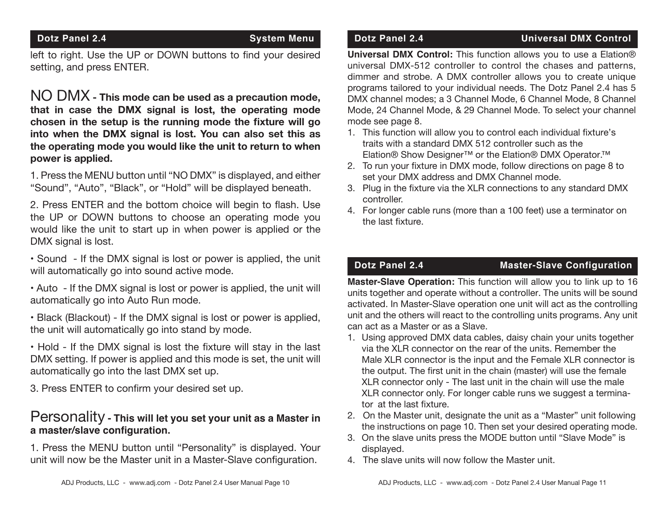## **Dotz Panel 2.4** System Menu

left to right. Use the UP or DOWN buttons to find your desired setting, and press ENTER.

NO DMX **- This mode can be used as a precaution mode, that in case the DMX signal is lost, the operating mode chosen in the setup is the running mode the fixture will go into when the DMX signal is lost. You can also set this as the operating mode you would like the unit to return to when power is applied.** 

1. Press the MENU button until "NO DMX" is displayed, and either "Sound", "Auto", "Black", or "Hold" will be displayed beneath.

2. Press ENTER and the bottom choice will begin to flash. Use the UP or DOWN buttons to choose an operating mode you would like the unit to start up in when power is applied or the DMX signal is lost.

• Sound - If the DMX signal is lost or power is applied, the unit will automatically go into sound active mode.

• Auto - If the DMX signal is lost or power is applied, the unit will automatically go into Auto Run mode.

• Black (Blackout) - If the DMX signal is lost or power is applied, the unit will automatically go into stand by mode.

• Hold - If the DMX signal is lost the fixture will stay in the last DMX setting. If power is applied and this mode is set, the unit will automatically go into the last DMX set up.

3. Press ENTER to confirm your desired set up.

## Personality **- This will let you set your unit as a Master in a master/slave configuration.**

1. Press the MENU button until "Personality" is displayed. Your unit will now be the Master unit in a Master-Slave configuration.

**Universal DMX Control:** This function allows you to use a Elation® universal DMX-512 controller to control the chases and patterns, dimmer and strobe. A DMX controller allows you to create unique programs tailored to your individual needs. The Dotz Panel 2.4 has 5 DMX channel modes; a 3 Channel Mode, 6 Channel Mode, 8 Channel Mode, 24 Channel Mode, & 29 Channel Mode. To select your channel mode see page 8.

- 1. This function will allow you to control each individual fixture's traits with a standard DMX 512 controller such as the Elation® Show Designer™ or the Elation® DMX Operator.™
- 2. To run your fixture in DMX mode, follow directions on page 8 to set your DMX address and DMX Channel mode.
- 3. Plug in the fixture via the XLR connections to any standard DMX controller.
- 4. For longer cable runs (more than a 100 feet) use a terminator on the last fixture.

## **Dotz Panel 2.4 Master-Slave Configuration**

**Master-Slave Operation:** This function will allow you to link up to 16 units together and operate without a controller. The units will be sound activated. In Master-Slave operation one unit will act as the controlling unit and the others will react to the controlling units programs. Any unit can act as a Master or as a Slave.

- 1. Using approved DMX data cables, daisy chain your units together via the XLR connector on the rear of the units. Remember the Male XLR connector is the input and the Female XLR connector is the output. The first unit in the chain (master) will use the female XLR connector only - The last unit in the chain will use the male XLR connector only. For longer cable runs we suggest a terminator at the last fixture.
- 2. On the Master unit, designate the unit as a "Master" unit following the instructions on page 10. Then set your desired operating mode.
- 3. On the slave units press the MODE button until "Slave Mode" is displayed.
- 4. The slave units will now follow the Master unit.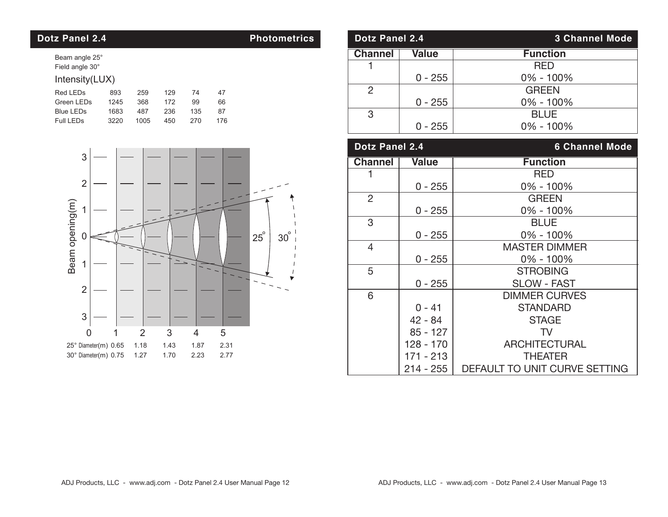## **Dotz Panel 2.4 Photometrics**

Beam angle 25° Field angle 30°

### Intensity(LUX)

| Red LEDs         | 893  | 259  | 129 | 74  | 47  |
|------------------|------|------|-----|-----|-----|
| Green LEDs       | 1245 | 368  | 172 | 99  | 66  |
| <b>Blue LEDs</b> | 1683 | 487  | 236 | 135 | 87  |
| Full LEDs        | 3220 | 1005 | 450 | 270 | 176 |



| Dotz Panel 2.4 |              | <b>3 Channel Mode</b> |
|----------------|--------------|-----------------------|
| <b>Channel</b> | <b>Value</b> | <b>Function</b>       |
|                |              | <b>RED</b>            |
|                | $0 - 255$    | $0\% - 100\%$         |
| 2              |              | <b>GREEN</b>          |
|                | $0 - 255$    | 0% - 100%             |
| 3              |              | <b>BLUE</b>           |
|                | $0 - 255$    | $0\% - 100\%$         |

| <b>Dotz Panel 2.4</b> |              | <b>6 Channel Mode</b>         |
|-----------------------|--------------|-------------------------------|
| <b>Channel</b>        | <b>Value</b> | <b>Function</b>               |
| 1                     |              | <b>RED</b>                    |
|                       | $0 - 255$    | 0% - 100%                     |
| $\overline{2}$        |              | <b>GREEN</b>                  |
|                       | $0 - 255$    | $0\% - 100\%$                 |
| 3                     |              | <b>BLUE</b>                   |
|                       | $0 - 255$    | $0\% - 100\%$                 |
| $\overline{4}$        |              | <b>MASTER DIMMER</b>          |
|                       | $0 - 255$    | 0% - 100%                     |
| 5                     |              | <b>STROBING</b>               |
|                       | $0 - 255$    | <b>SLOW - FAST</b>            |
| 6                     |              | <b>DIMMER CURVES</b>          |
|                       | $0 - 41$     | <b>STANDARD</b>               |
|                       | $42 - 84$    | <b>STAGE</b>                  |
|                       | $85 - 127$   | TV                            |
|                       | 128 - 170    | <b>ARCHITECTURAL</b>          |
|                       | 171 - 213    | <b>THEATER</b>                |
|                       | $214 - 255$  | DEFAULT TO UNIT CURVE SETTING |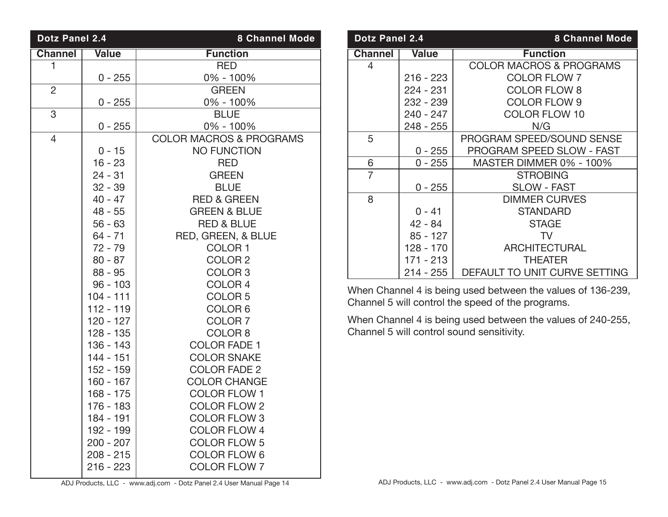| Dotz Panel 2.4 |              | <b>8 Channel Mode</b>              |
|----------------|--------------|------------------------------------|
| <b>Channel</b> | <b>Value</b> | <b>Function</b>                    |
| 1              |              | <b>RED</b>                         |
|                | $0 - 255$    | 0% - 100%                          |
| $\overline{2}$ |              | <b>GREEN</b>                       |
|                | $0 - 255$    | 0% - 100%                          |
| 3              |              | <b>BLUE</b>                        |
|                | $0 - 255$    | 0% - 100%                          |
| $\overline{4}$ |              | <b>COLOR MACROS &amp; PROGRAMS</b> |
|                | $0 - 15$     | <b>NO FUNCTION</b>                 |
|                | $16 - 23$    | <b>RED</b>                         |
|                | $24 - 31$    | <b>GREEN</b>                       |
|                | $32 - 39$    | <b>BLUE</b>                        |
|                | $40 - 47$    | <b>RED &amp; GREEN</b>             |
|                | $48 - 55$    | <b>GREEN &amp; BLUE</b>            |
|                | $56 - 63$    | <b>RED &amp; BLUE</b>              |
|                | 64 - 71      | RED, GREEN, & BLUE                 |
|                | $72 - 79$    | COLOR <sub>1</sub>                 |
|                | $80 - 87$    | COLOR <sub>2</sub>                 |
|                | $88 - 95$    | COLOR <sub>3</sub>                 |
|                | $96 - 103$   | COLOR <sub>4</sub>                 |
|                | $104 - 111$  | COLOR <sub>5</sub>                 |
|                | $112 - 119$  | COLOR <sub>6</sub>                 |
|                | 120 - 127    | COLOR <sub>7</sub>                 |
|                | 128 - 135    | COLOR <sub>8</sub>                 |
|                | $136 - 143$  | <b>COLOR FADE 1</b>                |
|                | $144 - 151$  | <b>COLOR SNAKE</b>                 |
|                | 152 - 159    | <b>COLOR FADE 2</b>                |
|                | $160 - 167$  | <b>COLOR CHANGE</b>                |
|                | $168 - 175$  | <b>COLOR FLOW 1</b>                |
|                | 176 - 183    | <b>COLOR FLOW 2</b>                |
|                | 184 - 191    | <b>COLOR FLOW 3</b>                |
|                | 192 - 199    | <b>COLOR FLOW 4</b>                |
|                | $200 - 207$  | <b>COLOR FLOW 5</b>                |
|                | $208 - 215$  | <b>COLOR FLOW 6</b>                |
|                | $216 - 223$  | <b>COLOR FLOW 7</b>                |
|                |              |                                    |

| <b>Dotz Panel 2.4</b> |              | <b>8 Channel Mode</b>              |
|-----------------------|--------------|------------------------------------|
| <b>Channel</b>        | <b>Value</b> | <b>Function</b>                    |
| 4                     |              | <b>COLOR MACROS &amp; PROGRAMS</b> |
|                       | $216 - 223$  | <b>COLOR FLOW 7</b>                |
|                       | $224 - 231$  | <b>COLOR FLOW 8</b>                |
|                       | $232 - 239$  | <b>COLOR FLOW 9</b>                |
|                       | $240 - 247$  | <b>COLOR FLOW 10</b>               |
|                       | 248 - 255    | N/G                                |
| 5                     |              | PROGRAM SPEED/SOUND SENSE          |
|                       | $0 - 255$    | <b>PROGRAM SPEED SLOW - FAST</b>   |
| 6                     | $0 - 255$    | MASTER DIMMER 0% - 100%            |
| $\overline{7}$        |              | <b>STROBING</b>                    |
|                       | $0 - 255$    | <b>SLOW - FAST</b>                 |
| 8                     |              | <b>DIMMER CURVES</b>               |
|                       | $0 - 41$     | <b>STANDARD</b>                    |
|                       | $42 - 84$    | <b>STAGE</b>                       |
|                       | $85 - 127$   | TV                                 |
|                       | 128 - 170    | <b>ARCHITECTURAL</b>               |
|                       | $171 - 213$  | <b>THEATER</b>                     |
|                       | 214 - 255    | DEFAULT TO UNIT CURVE SETTING      |

When Channel 4 is being used between the values of 136-239, Channel 5 will control the speed of the programs.

When Channel 4 is being used between the values of 240-255, Channel 5 will control sound sensitivity.

ADJ Products, LLC - www.adj.com - Dotz Panel 2.4 User Manual Page 14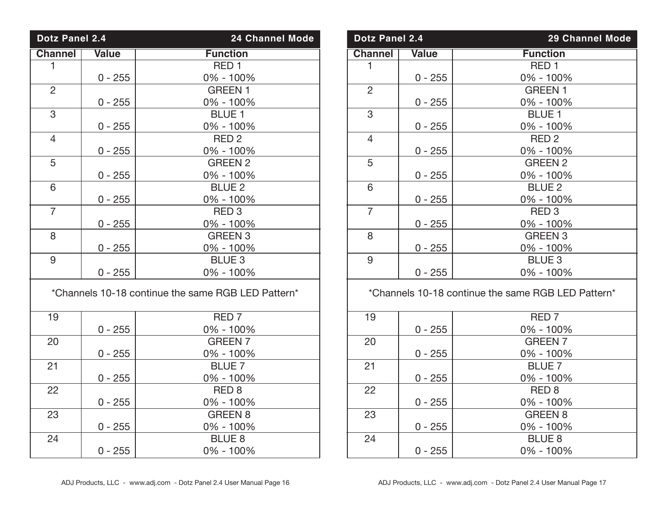| Dotz Panel 2.4                                     |              | <b>24 Channel Mode</b> |  |
|----------------------------------------------------|--------------|------------------------|--|
| <b>Channel</b>                                     | <b>Value</b> | <b>Function</b>        |  |
| $\mathbf{1}$                                       |              | RED <sub>1</sub>       |  |
|                                                    | $0 - 255$    | 0% - 100%              |  |
| $\overline{2}$                                     |              | <b>GREEN 1</b>         |  |
|                                                    | $0 - 255$    | 0% - 100%              |  |
| 3                                                  |              | <b>BLUE 1</b>          |  |
|                                                    | $0 - 255$    | 0% - 100%              |  |
| $\overline{4}$                                     |              | RED <sub>2</sub>       |  |
|                                                    | $0 - 255$    | 0% - 100%              |  |
| 5                                                  |              | <b>GREEN 2</b>         |  |
|                                                    | $0 - 255$    | 0% - 100%              |  |
| 6                                                  |              | <b>BLUE 2</b>          |  |
|                                                    | 0 - 255      | 0% - 100%              |  |
| $\overline{7}$                                     |              | RED <sub>3</sub>       |  |
|                                                    | $0 - 255$    | 0% - 100%              |  |
| 8                                                  |              | <b>GREEN 3</b>         |  |
|                                                    | $0 - 255$    | 0% - 100%              |  |
| 9                                                  |              | <b>BLUE 3</b>          |  |
|                                                    | $0 - 255$    | 0% - 100%              |  |
| *Channels 10-18 continue the same RGB LED Pattern* |              |                        |  |
| 19                                                 |              | RED <sub>7</sub>       |  |
|                                                    | $0 - 255$    | 0% - 100%              |  |
| 20                                                 |              | <b>GREEN 7</b>         |  |
|                                                    | $0 - 255$    | 0% - 100%              |  |
| 21                                                 |              | <b>BLUE 7</b>          |  |
|                                                    | $0 - 255$    | 0% - 100%              |  |
| 22                                                 |              | RED <sub>8</sub>       |  |
|                                                    | $0 - 255$    | 0% - 100%              |  |
| 23                                                 |              | <b>GREEN 8</b>         |  |
|                                                    | $0 - 255$    | 0% - 100%              |  |
| 24                                                 |              | <b>BLUE 8</b>          |  |
|                                                    | $0 - 255$    | 0% - 100%              |  |

| <b>Dotz Panel 2.4</b>                              |              | <b>29 Channel Mode</b> |
|----------------------------------------------------|--------------|------------------------|
| <b>Channel</b>                                     | <b>Value</b> | <b>Function</b>        |
| 1                                                  |              | RED <sub>1</sub>       |
|                                                    | $0 - 255$    | 0% - 100%              |
| $\overline{2}$                                     |              | <b>GREEN 1</b>         |
|                                                    | $0 - 255$    | 0% - 100%              |
| 3                                                  |              | <b>BLUE 1</b>          |
|                                                    | $0 - 255$    | 0% - 100%              |
| $\overline{4}$                                     |              | RED <sub>2</sub>       |
|                                                    | $0 - 255$    | 0% - 100%              |
| 5                                                  |              | <b>GREEN 2</b>         |
|                                                    | $0 - 255$    | 0% - 100%              |
| 6                                                  |              | <b>BLUE 2</b>          |
|                                                    | $0 - 255$    | 0% - 100%              |
| $\overline{7}$                                     |              | RED <sub>3</sub>       |
|                                                    | $0 - 255$    | 0% - 100%              |
| 8                                                  |              | <b>GREEN 3</b>         |
|                                                    | $0 - 255$    | 0% - 100%              |
| 9                                                  |              | <b>BLUE 3</b>          |
|                                                    | $0 - 255$    | $0\% - 100\%$          |
| *Channels 10-18 continue the same RGB LED Pattern* |              |                        |
| 19                                                 |              | RED <sub>7</sub>       |
|                                                    | $0 - 255$    | $0\% - 100\%$          |
| 20                                                 |              | <b>GREEN 7</b>         |
|                                                    | $0 - 255$    | 0% - 100%              |
| 21                                                 |              | <b>BLUE 7</b>          |
|                                                    | 0 - 255      | 0% - 100%              |
| 22                                                 |              | RED <sub>8</sub>       |
|                                                    | $0 - 255$    | 0% - 100%              |

8 BLUE 8<br>24 BLUE 8<br>24 - 100

0% - 100%

23 GREEN 8<br>0 - 255 0% - 100%  $\begin{array}{|c|c|c|c|}\n\hline\n0-255 & 0\% & -100\% \\
\hline\n24 & \text{BLE 8}\n\end{array}$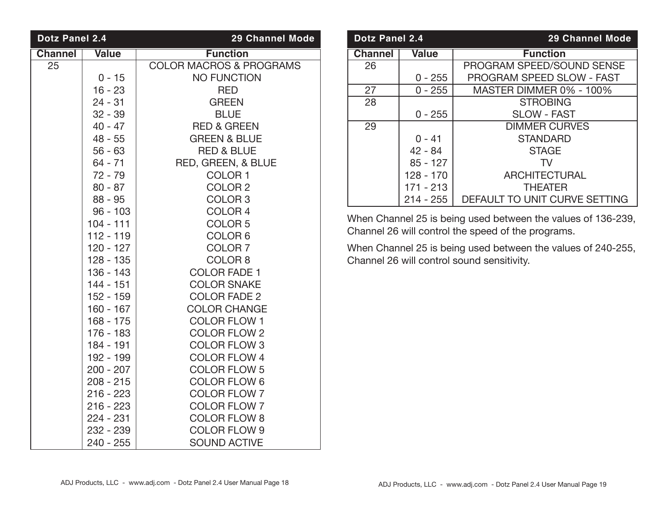| <b>Dotz Panel 2.4</b> |              | <b>29 Channel Mode</b>             |
|-----------------------|--------------|------------------------------------|
| <b>Channel</b>        | <b>Value</b> | <b>Function</b>                    |
| 25                    |              | <b>COLOR MACROS &amp; PROGRAMS</b> |
|                       | $0 - 15$     | <b>NO FUNCTION</b>                 |
|                       | $16 - 23$    | <b>RED</b>                         |
|                       | $24 - 31$    | <b>GREEN</b>                       |
|                       | $32 - 39$    | <b>BLUE</b>                        |
|                       | $40 - 47$    | <b>RED &amp; GREEN</b>             |
|                       | $48 - 55$    | <b>GREEN &amp; BLUE</b>            |
|                       | $56 - 63$    | <b>RED &amp; BLUE</b>              |
|                       | $64 - 71$    | RED, GREEN, & BLUE                 |
|                       | $72 - 79$    | COLOR <sub>1</sub>                 |
|                       | $80 - 87$    | COLOR <sub>2</sub>                 |
|                       | $88 - 95$    | COLOR <sub>3</sub>                 |
|                       | $96 - 103$   | COLOR <sub>4</sub>                 |
|                       | 104 - 111    | COLOR <sub>5</sub>                 |
|                       | $112 - 119$  | COLOR <sub>6</sub>                 |
|                       | $120 - 127$  | COLOR <sub>7</sub>                 |
|                       | $128 - 135$  | COLOR <sub>8</sub>                 |
|                       | 136 - 143    | <b>COLOR FADE 1</b>                |
|                       | $144 - 151$  | <b>COLOR SNAKE</b>                 |
|                       | 152 - 159    | <b>COLOR FADE 2</b>                |
|                       | $160 - 167$  | <b>COLOR CHANGE</b>                |
|                       | $168 - 175$  | <b>COLOR FLOW 1</b>                |
|                       | $176 - 183$  | <b>COLOR FLOW 2</b>                |
|                       | 184 - 191    | <b>COLOR FLOW 3</b>                |
|                       | 192 - 199    | <b>COLOR FLOW 4</b>                |
|                       | $200 - 207$  | <b>COLOR FLOW 5</b>                |
|                       | $208 - 215$  | <b>COLOR FLOW 6</b>                |
|                       | $216 - 223$  | <b>COLOR FLOW 7</b>                |
|                       | $216 - 223$  | <b>COLOR FLOW 7</b>                |
|                       | $224 - 231$  | <b>COLOR FLOW 8</b>                |
|                       | 232 - 239    | <b>COLOR FLOW 9</b>                |
|                       | 240 - 255    | <b>SOUND ACTIVE</b>                |

| <b>Dotz Panel 2.4</b> |              | <b>29 Channel Mode</b>           |
|-----------------------|--------------|----------------------------------|
| <b>Channel</b>        | <b>Value</b> | <b>Function</b>                  |
| 26                    |              | PROGRAM SPEED/SOUND SENSE        |
|                       | $0 - 255$    | <b>PROGRAM SPEED SLOW - FAST</b> |
| 27                    | $0 - 255$    | MASTER DIMMER 0% - 100%          |
| 28                    |              | <b>STROBING</b>                  |
|                       | $0 - 255$    | <b>SLOW - FAST</b>               |
| 29                    |              | <b>DIMMER CURVES</b>             |
|                       | $0 - 41$     | <b>STANDARD</b>                  |
|                       | $42 - 84$    | <b>STAGE</b>                     |
|                       | $85 - 127$   | TV.                              |
|                       | $128 - 170$  | <b>ARCHITECTURAL</b>             |
|                       | $171 - 213$  | <b>THEATER</b>                   |
|                       | $214 - 255$  | DEFAULT TO UNIT CURVE SETTING    |

When Channel 25 is being used between the values of 136-239, Channel 26 will control the speed of the programs.

When Channel 25 is being used between the values of 240-255, Channel 26 will control sound sensitivity.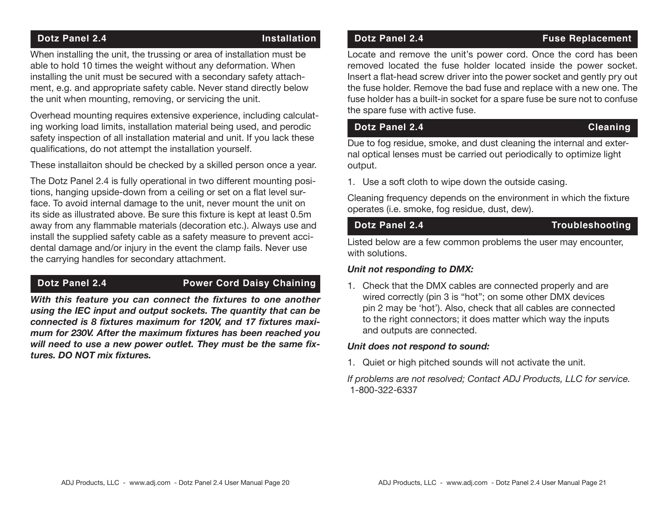## **Dotz Panel 2.4 Installation**

When installing the unit, the trussing or area of installation must be able to hold 10 times the weight without any deformation. When installing the unit must be secured with a secondary safety attachment, e.g. and appropriate safety cable. Never stand directly below the unit when mounting, removing, or servicing the unit.

Overhead mounting requires extensive experience, including calculating working load limits, installation material being used, and perodic safety inspection of all installation material and unit. If you lack these qualifications, do not attempt the installation yourself.

These installaiton should be checked by a skilled person once a year.

The Dotz Panel 2.4 is fully operational in two different mounting positions, hanging upside-down from a ceiling or set on a flat level surface. To avoid internal damage to the unit, never mount the unit on its side as illustrated above. Be sure this fixture is kept at least 0.5m away from any flammable materials (decoration etc.). Always use and install the supplied safety cable as a safety measure to prevent accidental damage and/or injury in the event the clamp fails. Never use the carrying handles for secondary attachment.

## **Dotz Panel 2.4 Power Cord Daisy Chaining**

*With this feature you can connect the fixtures to one another using the IEC input and output sockets. The quantity that can be connected is 8 fixtures maximum for 120V, and 17 fixtures maximum for 230V. After the maximum fixtures has been reached you will need to use a new power outlet. They must be the same fixtures. DO NOT mix fixtures.*

## **Dotz Panel 2.4 Fuse Replacement**

Locate and remove the unit's power cord. Once the cord has been removed located the fuse holder located inside the power socket. Insert a flat-head screw driver into the power socket and gently pry out the fuse holder. Remove the bad fuse and replace with a new one. The fuse holder has a built-in socket for a spare fuse be sure not to confuse the spare fuse with active fuse.

**Dotz Panel 2.4** Cleaning

Due to fog residue, smoke, and dust cleaning the internal and external optical lenses must be carried out periodically to optimize light output.

1. Use a soft cloth to wipe down the outside casing.

Cleaning frequency depends on the environment in which the fixture operates (i.e. smoke, fog residue, dust, dew).

## **Dotz Panel 2.4** Troubleshooting

Listed below are a few common problems the user may encounter, with solutions.

### *Unit not responding to DMX:*

1. Check that the DMX cables are connected properly and are wired correctly (pin 3 is "hot"; on some other DMX devices pin 2 may be 'hot'). Also, check that all cables are connected to the right connectors; it does matter which way the inputs and outputs are connected.

### *Unit does not respond to sound:*

1. Quiet or high pitched sounds will not activate the unit.

*If problems are not resolved; Contact ADJ Products, LLC for service.* 1-800-322-6337